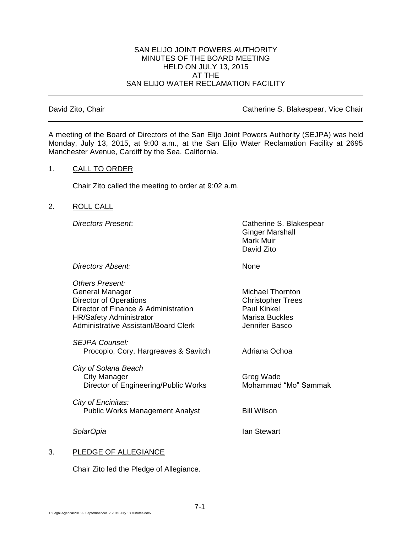#### SAN ELIJO JOINT POWERS AUTHORITY MINUTES OF THE BOARD MEETING HELD ON JULY 13, 2015 AT THE SAN ELIJO WATER RECLAMATION FACILITY

David Zito, Chair **Catherine S. Blakespear, Vice Chair** Catherine S. Blakespear, Vice Chair

A meeting of the Board of Directors of the San Elijo Joint Powers Authority (SEJPA) was held Monday, July 13, 2015, at 9:00 a.m., at the San Elijo Water Reclamation Facility at 2695 Manchester Avenue, Cardiff by the Sea, California.

#### 1. CALL TO ORDER

Chair Zito called the meeting to order at 9:02 a.m.

#### 2. ROLL CALL

*Directors Present*: Catherine S. Blakespear Ginger Marshall Mark Muir David Zito

*Directors Absent:* None

*Others Present:* General Manager Michael Thornton Director of Operations Christopher Trees Director of Finance & Administration Paul Kinkel HR/Safety Administrator Marisa Buckles Administrative Assistant/Board Clerk Jennifer Basco *SEJPA Counsel:* Procopio, Cory, Hargreaves & Savitch Adriana Ochoa *City of Solana Beach* City Manager Greg Wade Director of Engineering/Public Works Mohammad "Mo" Sammak *City of Encinitas:* Public Works Management Analyst Bill Wilson *SolarOpia* Ian Stewart

# 3. PLEDGE OF ALLEGIANCE

Chair Zito led the Pledge of Allegiance.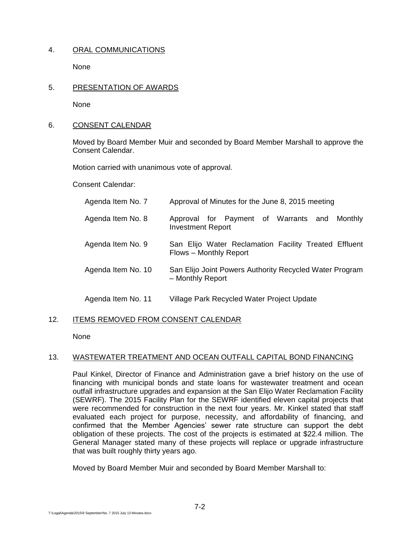# 4. ORAL COMMUNICATIONS

None

#### 5. PRESENTATION OF AWARDS

None

#### 6. CONSENT CALENDAR

Moved by Board Member Muir and seconded by Board Member Marshall to approve the Consent Calendar.

Motion carried with unanimous vote of approval.

Consent Calendar:

| Agenda Item No. 7  | Approval of Minutes for the June 8, 2015 meeting                                |
|--------------------|---------------------------------------------------------------------------------|
| Agenda Item No. 8  | Approval for Payment of Warrants and<br>Monthly<br><b>Investment Report</b>     |
| Agenda Item No. 9  | San Elijo Water Reclamation Facility Treated Effluent<br>Flows - Monthly Report |
| Agenda Item No. 10 | San Elijo Joint Powers Authority Recycled Water Program<br>- Monthly Report     |
| Agenda Item No. 11 | Village Park Recycled Water Project Update                                      |

# 12. ITEMS REMOVED FROM CONSENT CALENDAR

None

# 13. WASTEWATER TREATMENT AND OCEAN OUTFALL CAPITAL BOND FINANCING

Paul Kinkel, Director of Finance and Administration gave a brief history on the use of financing with municipal bonds and state loans for wastewater treatment and ocean outfall infrastructure upgrades and expansion at the San Elijo Water Reclamation Facility (SEWRF). The 2015 Facility Plan for the SEWRF identified eleven capital projects that were recommended for construction in the next four years. Mr. Kinkel stated that staff evaluated each project for purpose, necessity, and affordability of financing, and confirmed that the Member Agencies' sewer rate structure can support the debt obligation of these projects. The cost of the projects is estimated at \$22.4 million. The General Manager stated many of these projects will replace or upgrade infrastructure that was built roughly thirty years ago.

Moved by Board Member Muir and seconded by Board Member Marshall to: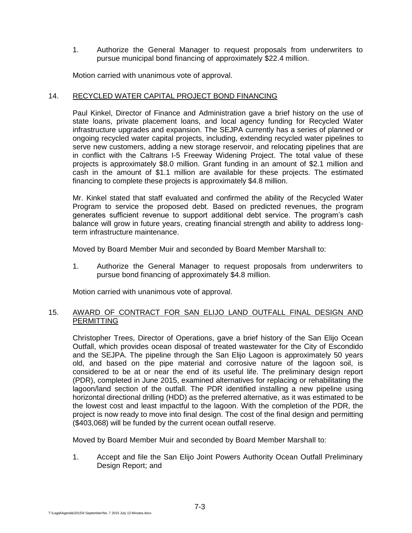1. Authorize the General Manager to request proposals from underwriters to pursue municipal bond financing of approximately \$22.4 million.

Motion carried with unanimous vote of approval.

## 14. RECYCLED WATER CAPITAL PROJECT BOND FINANCING

Paul Kinkel, Director of Finance and Administration gave a brief history on the use of state loans, private placement loans, and local agency funding for Recycled Water infrastructure upgrades and expansion. The SEJPA currently has a series of planned or ongoing recycled water capital projects, including, extending recycled water pipelines to serve new customers, adding a new storage reservoir, and relocating pipelines that are in conflict with the Caltrans I-5 Freeway Widening Project. The total value of these projects is approximately \$8.0 million. Grant funding in an amount of \$2.1 million and cash in the amount of \$1.1 million are available for these projects. The estimated financing to complete these projects is approximately \$4.8 million.

Mr. Kinkel stated that staff evaluated and confirmed the ability of the Recycled Water Program to service the proposed debt. Based on predicted revenues, the program generates sufficient revenue to support additional debt service. The program's cash balance will grow in future years, creating financial strength and ability to address longterm infrastructure maintenance.

Moved by Board Member Muir and seconded by Board Member Marshall to:

1. Authorize the General Manager to request proposals from underwriters to pursue bond financing of approximately \$4.8 million.

Motion carried with unanimous vote of approval.

#### 15. AWARD OF CONTRACT FOR SAN ELIJO LAND OUTFALL FINAL DESIGN AND PERMITTING

Christopher Trees, Director of Operations, gave a brief history of the San Elijo Ocean Outfall, which provides ocean disposal of treated wastewater for the City of Escondido and the SEJPA. The pipeline through the San Elijo Lagoon is approximately 50 years old, and based on the pipe material and corrosive nature of the lagoon soil, is considered to be at or near the end of its useful life. The preliminary design report (PDR), completed in June 2015, examined alternatives for replacing or rehabilitating the lagoon/land section of the outfall. The PDR identified installing a new pipeline using horizontal directional drilling (HDD) as the preferred alternative, as it was estimated to be the lowest cost and least impactful to the lagoon. With the completion of the PDR, the project is now ready to move into final design. The cost of the final design and permitting (\$403,068) will be funded by the current ocean outfall reserve.

Moved by Board Member Muir and seconded by Board Member Marshall to:

1. Accept and file the San Elijo Joint Powers Authority Ocean Outfall Preliminary Design Report; and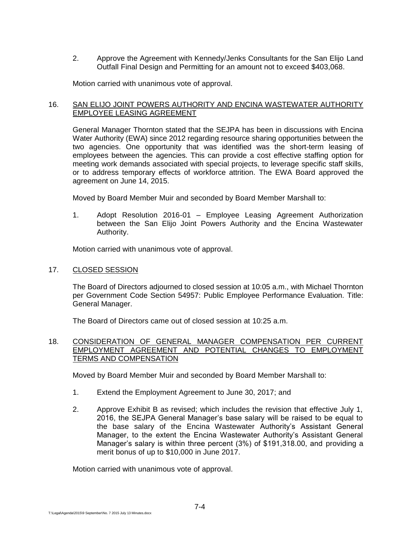2. Approve the Agreement with Kennedy/Jenks Consultants for the San Elijo Land Outfall Final Design and Permitting for an amount not to exceed \$403,068.

Motion carried with unanimous vote of approval.

## 16. SAN ELIJO JOINT POWERS AUTHORITY AND ENCINA WASTEWATER AUTHORITY EMPLOYEE LEASING AGREEMENT

General Manager Thornton stated that the SEJPA has been in discussions with Encina Water Authority (EWA) since 2012 regarding resource sharing opportunities between the two agencies. One opportunity that was identified was the short-term leasing of employees between the agencies. This can provide a cost effective staffing option for meeting work demands associated with special projects, to leverage specific staff skills, or to address temporary effects of workforce attrition. The EWA Board approved the agreement on June 14, 2015.

Moved by Board Member Muir and seconded by Board Member Marshall to:

1. Adopt Resolution 2016-01 – Employee Leasing Agreement Authorization between the San Elijo Joint Powers Authority and the Encina Wastewater Authority.

Motion carried with unanimous vote of approval.

## 17. CLOSED SESSION

The Board of Directors adjourned to closed session at 10:05 a.m., with Michael Thornton per Government Code Section 54957: Public Employee Performance Evaluation. Title: General Manager.

The Board of Directors came out of closed session at 10:25 a.m.

#### 18. CONSIDERATION OF GENERAL MANAGER COMPENSATION PER CURRENT EMPLOYMENT AGREEMENT AND POTENTIAL CHANGES TO EMPLOYMENT TERMS AND COMPENSATION

Moved by Board Member Muir and seconded by Board Member Marshall to:

- 1. Extend the Employment Agreement to June 30, 2017; and
- 2. Approve Exhibit B as revised; which includes the revision that effective July 1, 2016, the SEJPA General Manager's base salary will be raised to be equal to the base salary of the Encina Wastewater Authority's Assistant General Manager, to the extent the Encina Wastewater Authority's Assistant General Manager's salary is within three percent (3%) of \$191,318.00, and providing a merit bonus of up to \$10,000 in June 2017.

Motion carried with unanimous vote of approval.